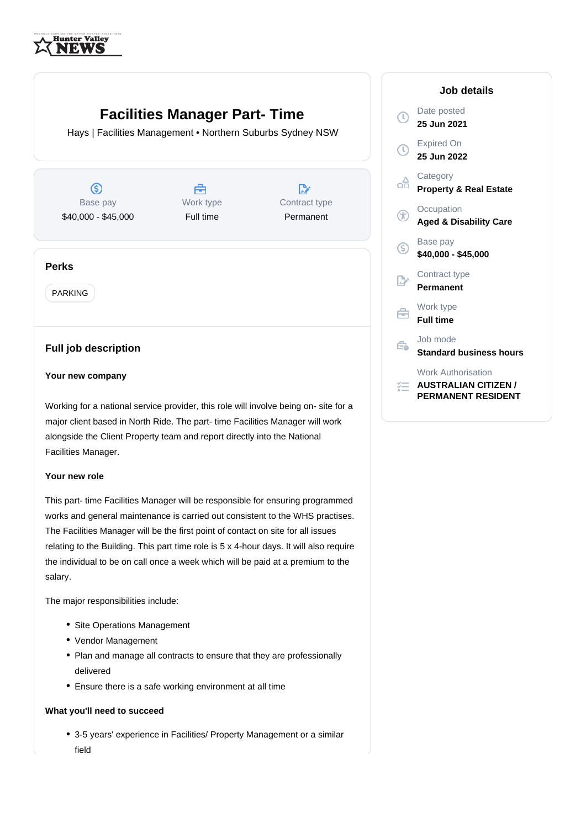

# **Facilities Manager Part- Time**

Hays | Facilities Management • Northern Suburbs Sydney NSW

 $\circledS$ Base pay \$40,000 - \$45,000

Å Work type Full time

 $\mathbb{R}^n$ Contract type Permanent

# **Perks**

PARKING

# **Full job description**

## **Your new company**

Working for a national service provider, this role will involve being on- site for a major client based in North Ride. The part- time Facilities Manager will work alongside the Client Property team and report directly into the National Facilities Manager.

#### **Your new role**

This part- time Facilities Manager will be responsible for ensuring programmed works and general maintenance is carried out consistent to the WHS practises. The Facilities Manager will be the first point of contact on site for all issues relating to the Building. This part time role is 5 x 4-hour days. It will also require the individual to be on call once a week which will be paid at a premium to the salary.

The major responsibilities include:

- Site Operations Management
- Vendor Management
- Plan and manage all contracts to ensure that they are professionally delivered
- Ensure there is a safe working environment at all time

#### **What you'll need to succeed**

3-5 years' experience in Facilities/ Property Management or a similar field